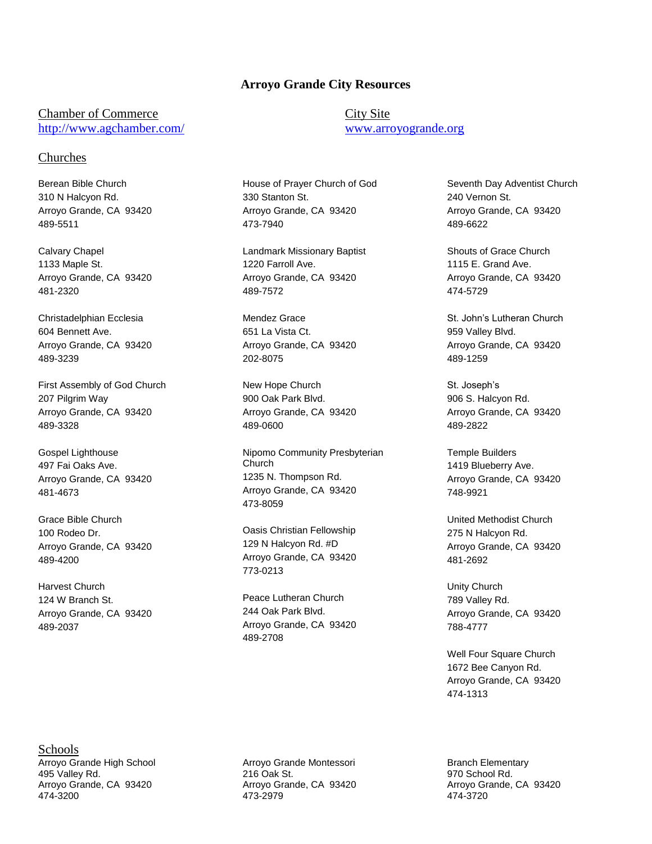## **Arroyo Grande City Resources**

## Chamber of Commerce <http://www.agchamber.com/>

## Churches

Berean Bible Church 310 N Halcyon Rd. Arroyo Grande, CA 93420 489-5511

Calvary Chapel 1133 Maple St. Arroyo Grande, CA 93420 481-2320

Christadelphian Ecclesia 604 Bennett Ave. Arroyo Grande, CA 93420 489-3239

First Assembly of God Church 207 Pilgrim Way Arroyo Grande, CA 93420 489-3328

Gospel Lighthouse 497 Fai Oaks Ave. Arroyo Grande, CA 93420 481-4673

Grace Bible Church 100 Rodeo Dr. Arroyo Grande, CA 93420 489-4200

Harvest Church 124 W Branch St. Arroyo Grande, CA 93420 489-2037

House of Prayer Church of God 330 Stanton St. Arroyo Grande, CA 93420 473-7940

Landmark Missionary Baptist 1220 Farroll Ave. Arroyo Grande, CA 93420 489-7572

Mendez Grace 651 La Vista Ct. Arroyo Grande, CA 93420 202-8075

New Hope Church 900 Oak Park Blvd. Arroyo Grande, CA 93420 489-0600

Nipomo Community Presbyterian Church 1235 N. Thompson Rd. Arroyo Grande, CA 93420 473-8059

Oasis Christian Fellowship 129 N Halcyon Rd. #D Arroyo Grande, CA 93420 773-0213

Peace Lutheran Church 244 Oak Park Blvd. Arroyo Grande, CA 93420 489-2708

Seventh Day Adventist Church 240 Vernon St. Arroyo Grande, CA 93420

489-6622

Shouts of Grace Church 1115 E. Grand Ave. Arroyo Grande, CA 93420 474-5729

St. John's Lutheran Church 959 Valley Blvd. Arroyo Grande, CA 93420 489-1259

St. Joseph's 906 S. Halcyon Rd. Arroyo Grande, CA 93420 489-2822

Temple Builders 1419 Blueberry Ave. Arroyo Grande, CA 93420 748-9921

United Methodist Church 275 N Halcyon Rd. Arroyo Grande, CA 93420 481-2692

Unity Church 789 Valley Rd. Arroyo Grande, CA 93420 788-4777

Well Four Square Church 1672 Bee Canyon Rd. Arroyo Grande, CA 93420 474-1313

Schools Arroyo Grande High School 495 Valley Rd. Arroyo Grande, CA 93420 474-3200

Arroyo Grande Montessori 216 Oak St. Arroyo Grande, CA 93420 473-2979

Branch Elementary 970 School Rd. Arroyo Grande, CA 93420 474-3720

## City Site [www.arroyogrande.org](http://www.arroyogrande.org/)